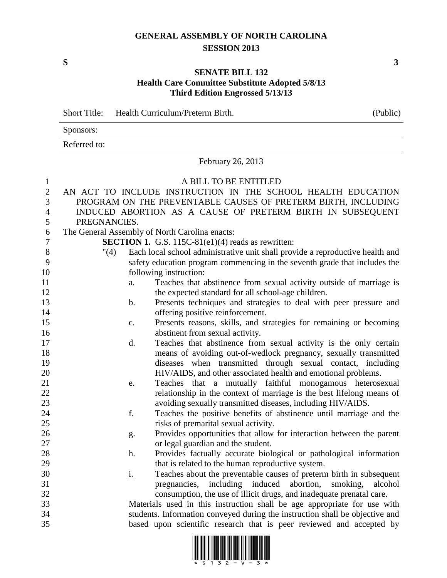## **GENERAL ASSEMBLY OF NORTH CAROLINA SESSION 2013**

**S 3**

## **SENATE BILL 132 Health Care Committee Substitute Adopted 5/8/13 Third Edition Engrossed 5/13/13**

Short Title: Health Curriculum/Preterm Birth. (Public)

|                  | Sponsors:             |                                                                               |  |  |  |  |  |  |  |
|------------------|-----------------------|-------------------------------------------------------------------------------|--|--|--|--|--|--|--|
|                  | Referred to:          |                                                                               |  |  |  |  |  |  |  |
|                  | February 26, 2013     |                                                                               |  |  |  |  |  |  |  |
| $\mathbf{1}$     | A BILL TO BE ENTITLED |                                                                               |  |  |  |  |  |  |  |
| $\overline{2}$   |                       | AN ACT TO INCLUDE INSTRUCTION IN THE SCHOOL HEALTH EDUCATION                  |  |  |  |  |  |  |  |
| 3                |                       | PROGRAM ON THE PREVENTABLE CAUSES OF PRETERM BIRTH, INCLUDING                 |  |  |  |  |  |  |  |
| 4                |                       | INDUCED ABORTION AS A CAUSE OF PRETERM BIRTH IN SUBSEQUENT                    |  |  |  |  |  |  |  |
| 5                | PREGNANCIES.          |                                                                               |  |  |  |  |  |  |  |
| 6                |                       | The General Assembly of North Carolina enacts:                                |  |  |  |  |  |  |  |
| $\boldsymbol{7}$ |                       | <b>SECTION 1.</b> G.S. 115C-81(e1)(4) reads as rewritten:                     |  |  |  |  |  |  |  |
| $8\,$            | "(4)                  | Each local school administrative unit shall provide a reproductive health and |  |  |  |  |  |  |  |
| 9                |                       | safety education program commencing in the seventh grade that includes the    |  |  |  |  |  |  |  |
| 10               |                       | following instruction:                                                        |  |  |  |  |  |  |  |
| 11               | a.                    | Teaches that abstinence from sexual activity outside of marriage is           |  |  |  |  |  |  |  |
| 12               |                       | the expected standard for all school-age children.                            |  |  |  |  |  |  |  |
| 13               | $\mathbf b$ .         | Presents techniques and strategies to deal with peer pressure and             |  |  |  |  |  |  |  |
| 14               |                       | offering positive reinforcement.                                              |  |  |  |  |  |  |  |
| 15               | c.                    | Presents reasons, skills, and strategies for remaining or becoming            |  |  |  |  |  |  |  |
| 16               |                       | abstinent from sexual activity.                                               |  |  |  |  |  |  |  |
| 17               | d.                    | Teaches that abstinence from sexual activity is the only certain              |  |  |  |  |  |  |  |
| 18               |                       | means of avoiding out-of-wedlock pregnancy, sexually transmitted              |  |  |  |  |  |  |  |
| 19               |                       | diseases when transmitted through sexual contact, including                   |  |  |  |  |  |  |  |
| 20               |                       | HIV/AIDS, and other associated health and emotional problems.                 |  |  |  |  |  |  |  |
| 21               | e.                    | Teaches that a mutually faithful monogamous heterosexual                      |  |  |  |  |  |  |  |
| 22               |                       | relationship in the context of marriage is the best lifelong means of         |  |  |  |  |  |  |  |
| 23               |                       | avoiding sexually transmitted diseases, including HIV/AIDS.                   |  |  |  |  |  |  |  |
| 24               | f.                    | Teaches the positive benefits of abstinence until marriage and the            |  |  |  |  |  |  |  |
| 25               |                       | risks of premarital sexual activity.                                          |  |  |  |  |  |  |  |
| 26               | g.                    | Provides opportunities that allow for interaction between the parent          |  |  |  |  |  |  |  |
| 27               |                       | or legal guardian and the student.                                            |  |  |  |  |  |  |  |
| 28               | h.                    | Provides factually accurate biological or pathological information            |  |  |  |  |  |  |  |
| 29               |                       | that is related to the human reproductive system.                             |  |  |  |  |  |  |  |
| 30               | <u>i.</u>             | Teaches about the preventable causes of preterm birth in subsequent           |  |  |  |  |  |  |  |
| 31               |                       | including induced<br>abortion,<br>smoking,<br>alcohol<br>pregnancies,         |  |  |  |  |  |  |  |
| 32               |                       | consumption, the use of illicit drugs, and inadequate prenatal care.          |  |  |  |  |  |  |  |
| 33               |                       | Materials used in this instruction shall be age appropriate for use with      |  |  |  |  |  |  |  |
| 34               |                       | students. Information conveyed during the instruction shall be objective and  |  |  |  |  |  |  |  |
| 35               |                       | based upon scientific research that is peer reviewed and accepted by          |  |  |  |  |  |  |  |